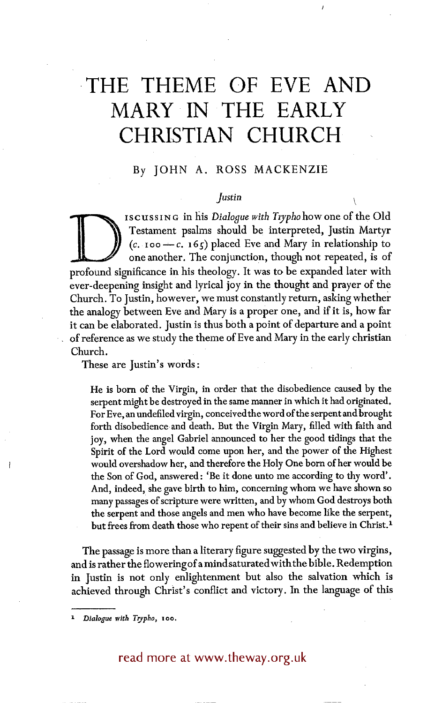# **THE THEME OF EVE AND MARY IN THE EARLY CHRISTIAN CHURCH**

# By JOHN A. ROSS MACKENZIE

### *Justin*

ISCUSSING in his *Dialoque with Trypho* how one of the Old Testament psalms should be interpreted, Justin Martyr  $(c. 100-c. 165)$  placed Eve and Mary in relationship to one another. The conjunction, though not repeated, is of profound significance in his theology. It was to be expanded later with ever-deepening insight and lyrical joy in the thought and prayer of the Church. To Justin, however, we must constantly return, asking whether the analogy between Eve and Mary is a proper one, and if it is, how far it can be elaborated. Justin is thus both a point of departure and a point • of reference as we study the theme of Eve and Mary in the early christian Church.

These are Justin's words:

He is born of the Virgin, in order that the disobedience caused by the serpent might be destroyed in the same manner in which it had originated. For Eve, an undefiled virgin, conceived the word of the serpent and brought forth disobedience and death. But the Virgin Mary, filled with faith and joy, when the angel Gabriel announced to her the good tidings that the Spirit of the Lord would come upon her, and the power of the Highest would overshadow her, and therefore the Holy One born of her would be the Son of God, answered: 'Be it done unto me according to thy word'. And, indeed, she gave birth to him, concerning whom we have shown so many passages of scripture were written, and by whom God destroys both the serpent and those angels and men who have become like the serpent, but frees from death those who repent of their sins and believe in Christ.<sup>1</sup>

The passage is more than a literary figure suggested by the two virgins, and is rather the flowering of a mind saturated with the bible. Redemption in Justin is not only enlightenment but also the salvation which is achieved through Christ's conflict and victory. In the language of this

*x Dialogue with Trypho, loo.* 

# read more at www.theway.org.uk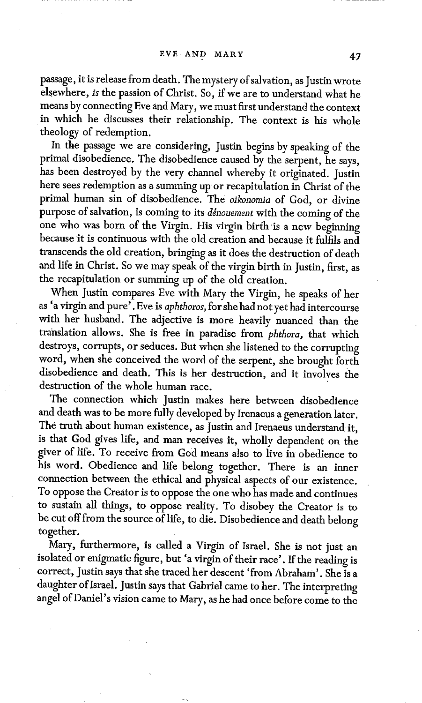passage, it is release from death. The mystery of salvation, as Justin wrote elsewhere, *is* the passion of Christ. So, if we are to understand what he means by connecting Eve and Mary, we must first understand the context in which he discusses their relationship. The context is his whole theology of redemption.

In the passage we are considering, Justin begins by speaking of the primal disobedience. The disobedience caused by the serpent, he says, has been destroyed by the very channel whereby it originated. Justin here sees redemption as a summing up or recapitulation in Christ of the primal human sin of disobedience. The *oikonornia* of God, or divine purpose of salvation, is coming to its *denouement* with the coming of the one who was born of the Virgin. His virgin birth'is a new beginning because it is continuous with the old creation and because it fulfils and transcends the old creation, bringing as it does the destruction of death and life in Christ. So we may speak of the virgin birth in Justin, first, as the recapitulation or summing up of the old creation.

When Justin compares Eve with Mary the Virgin, he speaks of her as 'a virgin and pure'. Eve is *aphthoros,* for she had not yet had intercourse with her husband. The adjective is more heavily nuanced than the translation allows. She is free in paradise from *phthora,* that which destroys, corrupts, or seduces. But when she listened to the corrupting word, when she conceived the word of the serpent, she brought forth disobedience and death. This is her destruction, and it involves the destruction of the whole human race.

The connection which Justin makes here between disobedience and death was to be more fully developed by Irenaeus a generation later. The truth about human existence, as Justin and Irenaeus understand it, is that God gives life, and man receives it, wholly dependent on the giver of life. To receive from God means also to live in obedience to his word. Obedience and life belong together. There is an inner connection between the ethical and physical aspects of our existence. To oppose the Creator is to oppose the one who has made and continues to sustain all things, to oppose reality. To disobey the Creator is to be cut off from the source of life, to die. Disobedience and death belong together.

Mary, furthermore, is called a Virgin of Israel. She is not just an isolated or enigmatic figure, but 'a virgin of their race'. If the reading is correct, Justin says that she traced her descent 'from Abraham'. She is a daughter of Israel. Justin says that Gabriel came to her. The interpreting angel of Daniel's vision came to Mary, as he had once before come to the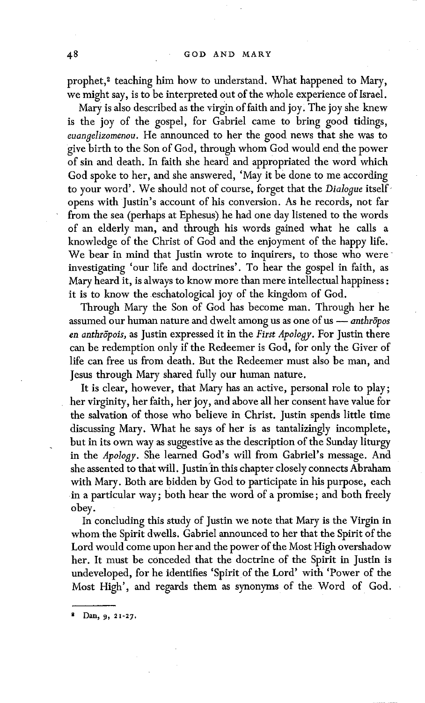prophet,<sup>2</sup> teaching him how to understand. What happened to Mary, we might say, is to be interpreted out of the whole experience of Israel.

Mary is also described as the virgin of faith and joy. The joy she knew is the joy of the gospel, for Gabriel came to bring good tidings, *euanselizomenou.* He announced to her the good news that she was to give birth to the Son of God, through whom God would end the power of sin and death. In faith she heard and appropriated the word which God spoke to her, and she answered, 'May it be done to me according to your word'. We should not of course, forget that the *Dialogue* itselfopens with Justin's account of his conversion. As he records, not far from the sea (perhaps at Ephesus) he had one day listened to the words of an elderly man, and through his words gained what he calls a knowledge of the Christ of God and the enjoyment of the happy life. We bear in mind that Justin wrote to inquirers, to those who were investigating 'our life and doctrines'. To hear the gospel in faith, as Mary heard it, is always to know more than mere intellectual happiness : it is to know the eschatological joy of the kingdom of God.

Through Mary the Son of God has become man. Through her he assumed our human nature and dwelt among us as one of us m *anthr6pos en anthr6pois,* as Justin expressed it in the *First Apology.* For Justin there can be redemption only if the Redeemer is God, for only the Giver of life can free us from death. But the Redeemer must also be man, and Jesus through Mary shared fully our human nature.

It is clear, however, that Mary has an active, personal role to play; her virginity, her faith, her joy, and above all her consent have value for the salvation of those who believe in Christ. Justin spends little time discussing Mary. What he says of her is as tantalizingly incomplete, but in its own way as suggestive as the description of the Sunday liturgy in the *Apology*. She learned God's will from Gabriel's message. And she assented to that will. Justin in this chapter closely connects Abraham with Mary. Both are bidden by God to participate in his purpose, each in a particular way; both hear the word of a promise; and both freely obey.

In concluding this study of Justin we note that Mary is the Virgin in whomthe Spirit dwells. Gabriel announced to her that the Spirit of the Lord would come upon her and the power of the Most High overshadow her. It must be conceded that the doctrine of the Spirit in Justin is undeveloped, for he identifies 'Spirit of the Lord' with 'Power of the Most High', and regards them as synonyms of the Word of God.

Dan, 9, 21-27.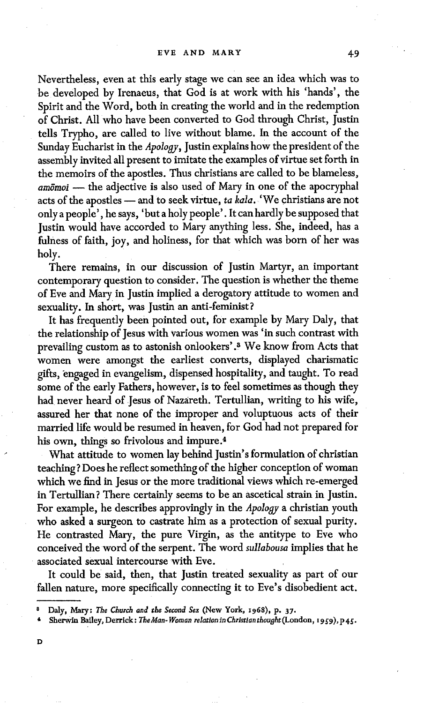Nevertheless, even at this early stage we can see an idea which was to be developed by Irenaeus, that God is at work with his 'hands', the Spirit and the Word, both in creating the world and in the redemption of Christ. All who have been converted to God through Christ, Justin tells Trypho, are called to live without blame. In the account of the Sunday Eucharist in the *Apology,* Justin explains how the president of the assembly invited all present to imitate the examples of virtue set forth in the memoirs of the apostles. Thus christians are called to be blameless, *am6moi ~* the adjective is also used of Mary in one of the apocryphal acts of the apostles -- and to seek virtue, *ta kala*. 'We christians are not only a people', he says, 'but a holy people'. It can hardly be supposed that Justin would have accorded to Mary anything less. She, indeed, has a fulness of faith, joy, and holiness, for that which was born of her was holy.

There remains, in our discussion of Justin Martyr, an important contemporary question to consider. The question is whether the theme of Eve and Mary in Justin implied a derogatory attitude to women and sexuality. In short, was Justin an anti-feminist?

It has frequently been pointed out, for example by Mary Daly, that the relationship of Jesus with various women was 'in such contrast with prevailing custom as to astonish onlookers' .8 We know from Acts that women were amongst the earliest converts, displayed charismatic gifts, engaged in evangelism, dispensed hospitality, and taught. To read some of the early Fathers, however, is to feel sometimes as though they had never heard of Jesus of Nazareth. Tertullian, writing to his wife, assured her that none of the improper and voluptuous acts of their married life would be resumed in heaven, for God had not prepared for his own, things so frivolous and impure. 4

What attitude to women lay behind Justin's formulation of christian teaching? Does he reflect something of the higher conception of woman which we find in Jesus or the more traditional views which re-emerged in Tertullian? There certainly seems to be an ascetical strain in Justin. For example, he describes approvingly in the *Apology* a christian youth who asked a surgeon to castrate him as a protection of sexual purity. He contrasted Mary, the pure Virgin, as the antitype to Eve who conceived the word of the serpent. The word *sutlabousa* implies that he associated sexual intercourse with Eve.

It could be said, then, that Justin treated sexuality as part of our fallen nature, more specifically connecting it to Eve's disobedient act.

D

e Daly, Mary: *The Church and the Second Sex* (New York, x968), p. 37.

Sherwin Bailey, Derrick: *The Man-Woman relation in Christian thought* (London, 1959), p45.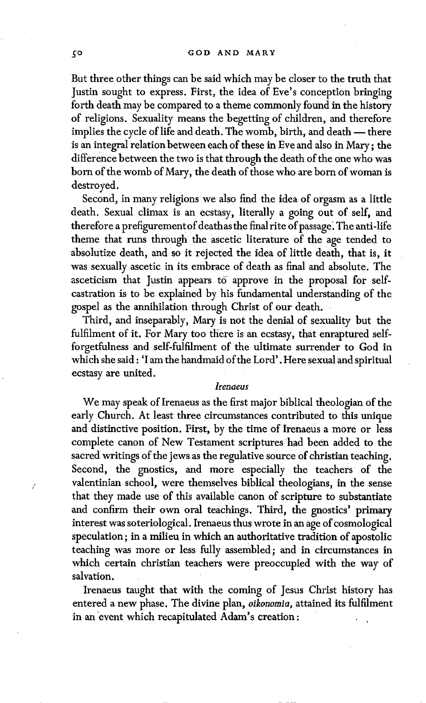But three other things can be said which may be closer to the truth that Justin sought to express. First, the idea of Eve's conception bringing forth death may be compared to a theme commonly found in the history of religions. Sexuality means the begetting of children, and therefore implies the cycle of life and death. The womb, birth, and death -- there is an integral relation between each of these in Eve and also in Mary; the difference between the two is that through the death of the one who was born of the womb of Mary, the death of those who are born of woman is destroyed.

Second, in many religions we also find the idea of orgasm as a little death. Sexual climax is an ecstasy, literally a going out of self, and therefore a prefigurement of deathas the final rite of passage. The anti-life theme that runs through the ascetic literature of the age tended to absolutize death, and so it rejected the idea of little death, that is, it was sexually ascetic in its embrace of death as final and absolute. The asceticism that Justin appears to approve in the proposal for selfcastration is to be explained by his fundamental understanding of the gospel as the annihilation through Christ of our death.

Third, and inseparably, Mary is not the denial of sexuality but the fulfilment of it. For Mary too there is an ecstasy, that enraptured selfforgetfulness and self-fulfilment of the ultimate surrender to God in which she said : 'I am the handmaid of the Lord'. Here sexual and spiritual ecstasy are united.

#### *Irenaeus*

We may speak of Irenaeus as the first major biblical theologian of the early Church. At least three circumstances contributed to this unique and distinctive position. First, by the time of Irenaeus a more or less complete canon of New Testament scriptures had been added to the sacred writings of the jews as the regulative source of christian teaching. Second, the gnostics, and more especially the teachers of the valentinian school, were themselves biblical theologians, in the sense that they made use of this available canon of scripture to substantiate and confirm their own oral teachings. Third, the gnostics' primary interest was soteriological. Irenaeus thus wrote in an age of cosmological speculation; in a milieu in which an authoritative tradition of apostolic teaching was more or less fully assembled; and in circumstances in which certain christian teachers were preoccupied with the way of salvation.

Irenaeus taught that with the coming of Jesus Christ history has entered a new phase. The divine plan, *oikonomia,* attained its fulfilment in an 'event which recapitulated Adam's creation: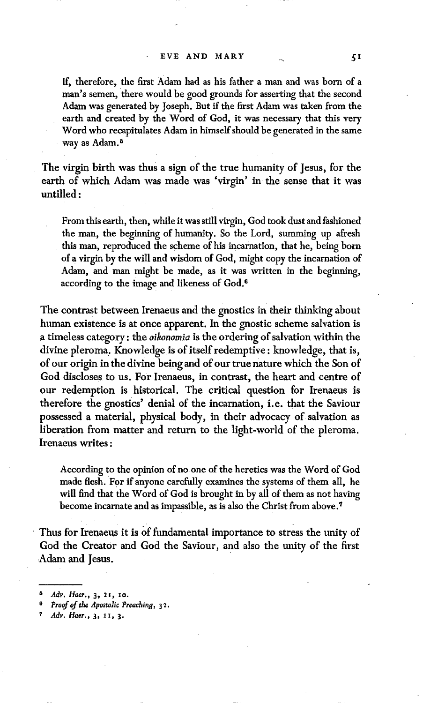If, therefore, the first Adam had as his father a man and was born of a man's semen, there would be good grounds for asserting that the second Adam was generated by Joseph. But if the first Adam was taken from the earth and created by the Word of God, it was necessary that this very Word who recapitulates Adam in himself should be generated in the same way as Adam.<sup>5</sup>

The virgin birth was thus a sign of the true humanity of Jesus, for the earth of which Adam was made was 'virgin' in the sense that it was untilled :

From this earth, then, while it was still virgin, God took dust and fashioned the man, the beginning of humanity. So the Lord, summing up afresh this man, reproduced the scheme of his incarnation, that he, being born ofa virginby the will and wisdom of God, might copy the incarnation of Adam, and man might be made, as it was written in the beginning, according to the image and likeness of God.<sup>6</sup>

The contrast between Irenaeus and the gnostics in their thinking about human existence is at once apparent. In the gnostic scheme salvation is a timeless category: the *oikonomia* is the ordering of salvation within the divine pleroma, Knowledge is of itself redemptive : knowledge, that is, of our origin in the divine being and of our true nature which the Son of God discloses to us. For Irenaeus, in contrast, the heart and centre of our redemption is historical. The critical question for Irenaeus is therefore the gnostics' denial of the incarnation, i.e. that the Saviour possessed a material, physical body, in their advocacy of salvation as liberation from matter and return to the light-world of the pleroma. Irenaeus writes:

According to the opinion of no one of the heretics was the Word of God made flesh. For if anyone carefully examines the systems of them all, he will find that the Word of God is brought in by all of them as not having become incarnate and as impassible, as is also the Christ from above.<sup>7</sup>

Thus for Irenaeus it is of fundamental importance to stress the unity of God the Creator and God the Saviour, and also the unity of the first Adam and Jesus.

*Adv. Haer.*, 3, 21, 10.

Proof of the Apostolic Preaching, 32.

*Adv. Haer.,* 3, 1I, 3.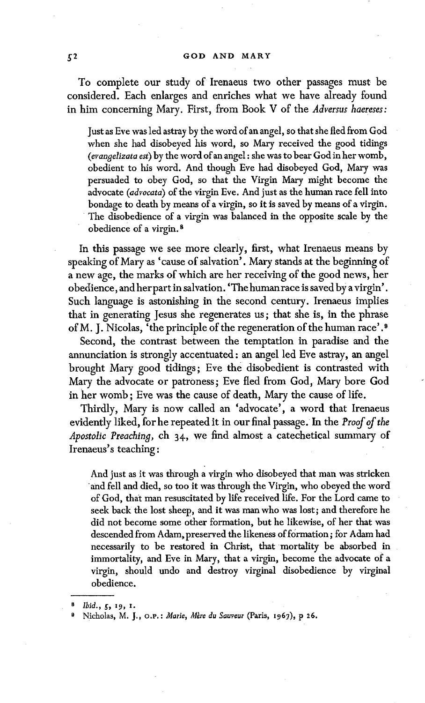To complete our study of Irenaeus two other passages must be considered. Each enlarges and enriches what we have already found in him concerning Mary. First, from Book V of the *Adversus haereses:* 

Just as Eve was led astray by the word of an angel, so that she fled from God when she had disobeyed his word, so Mary received the good tidings *(erangelizata est) by* the word of an angel : she was to bear God in her womb, obedient to his word. And though Eve had disobeyed God, Mary was persuaded to obey God, so that the Virgin Mary might become the advocate *(advocata)* of the virgin Eve. And just as the human race fell into bondage to death by means of a virgin, so it is saved by means of a virgin. The disobedience of a virgin was balanced in the opposite scale by the obedience of a virgin.<sup>8</sup>

In this passage we see more clearly, first, what Irenaeus means by speaking of Mary as 'cause of salvation'. Mary stands at the beginning of a new age, the marks of which are her receiving of the good news, her obedience, and her part in salvation. 'Thehumanrace is saved by a virgin'. Such language is astonishing in the second century. Irenaeus implies that in generating Jesus she regenerates us; that she is, in the phrase of M. J. Nicolas, 'the principle of the regeneration of the human race'.8

Second, the contrast between the temptation in paradise and the annunciation is strongly accentuated: an angel led Eve astray, an angel brought Mary good tidings; Eve the disobedient is contrasted with Mary the advocate or patroness; Eve fled from God, Mary bore God in her womb; Eve was the cause of death, Mary the cause of life.

Thirdly, Mary is now called an 'advocate', a word that Irenaeus evidently liked, for he repeated it in our final passage. In the *Proof of the Apostolic Preaching,* ch 34, we find almost a catechetical summary of Irenaeus's teaching:

And just as it was through a virgin who disobeyed that man was stricken and fell and died, so too it was through the Virgin, who obeyed the word of God, that man resuscitated by life received life. For the Lord came to seek back the lost sheep, and it was man who was lost; and therefore he did not become some other formation, but he likewise, of her that was descended from Adam, preserved the likeness of formation; for Adam had necessarily to be restored in Christ, that mortality be absorbed in immortality, and Eve in Mary, that a virgin, become the advocate of a virgin, should undo and destroy virginal disobedience by virginal obedience.

*s Ibid., ~, I9, i.* 

Nicholas, M. J., O.P.: *Marie, Mère du Sauveur* (Paris, 1967), p 26.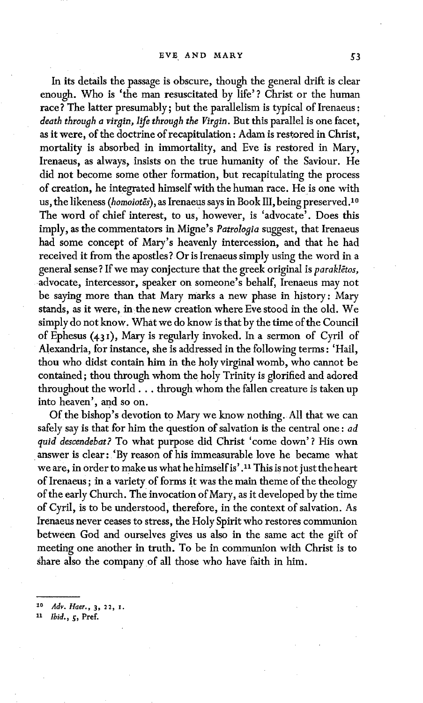In its details the passage is obscure, though the general drift is clear enough. Who is 'the man resuscitated by life'? Christ or the human race? The latter presumably; but the parallelism is typical of Irenaeus : *death through a virgin, life through the Virgin.* But this parallel is one facet, as it were, of the doctrine of recapitulation: Adam is restored in Christ, mortality is absorbed in immortality, and Eve is restored in Mary, Irenaeus, as always, insists on the true humanity of the Saviour. He did not become some other formation, but recapitulating the process of creation, he integrated himself with the human race. He is one with us, the likeness *(homoiotes)*, as Irenaeus says in Book III, being preserved.<sup>10</sup> The word of chief interest, to us, however, is 'advocate'. Does this imply, as the commentators in Migne's *Patrologia* suggest, that Irenaeus had some concept of Mary's heavenly intercession, and that he had received it from the apostles? Or is Irenaeus simply using the word in a general sense? If we may conjecture that the greek original is *parakletos*, advocate, intercessor, speaker on someone's behalf, Irenaeus may not be saying more than that Mary marks a new phase in history: Mary stands, as it were, in the new creation where Eve stood in the old. We simply do not know. What we do know is that by the time of the Council of Ephesus  $(431)$ , Mary is regularly invoked. In a sermon of Cyril of Alexandria, for instance, she is addressed in the following terms : 'Hail, thou who didst contain him in the holy virginal womb, who cannot be contained; thou through whom the holy Trinity is glorified and adored throughout the world.., through whom the fallen creature is taken up into heaven', and so on.

Of the bishop's devotion to Mary we know nothing. All that we can safely say is that for him the question of salvation is the central one : *ad quid descendebat?* To what purpose did Christ 'come down' ? His own answer is clear: 'By reason of his immeasurable love he became what we are, in order to make us what he himself is'.<sup>11</sup> This is not just the heart of Irenaeus; in a variety of forms it was the main theme of the theology of the early Church. The invocation of Mary, as it developed by the time of Cyril, is to be understood, therefore, in the context of salvation. As Irenaeus never ceases to stress, the Holy Spirit who restores communion between God and ourselves gives us also in the same act the gift of meeting one another in truth. To be in communion with Christ is to share also the company of all those who have faith in him.

*~o Adv. Haer.,* 3, 22, x.

11 *Ibid.*, *5*, Pref.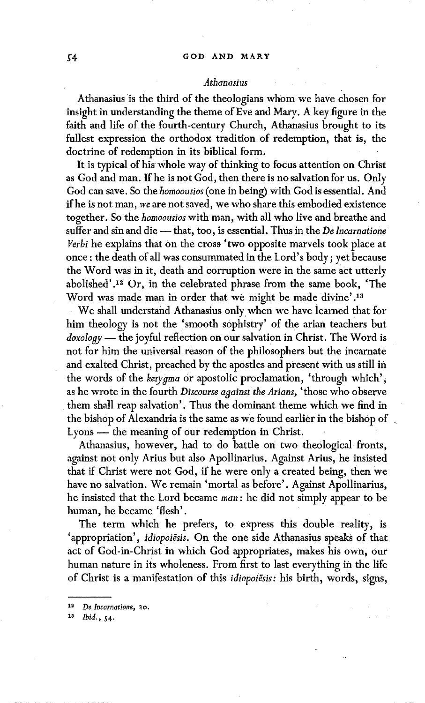## *Athanasius*

Athanasius is the third of the theologians whom we have chosen for insight in understanding the theme of Eve and Mary. A key figure in the faith and life of the fourth-century Church, Athanasius brought to its fullest expression the orthodox tradition of redemption, that is, the doctrine of redemption in its biblical form.

It is typical of his whole way of thinking to focus attention on Christ as God and man. If he is not God, then there is no salvation for us. Only God can save. So the *homoousios* (one in being) with God is essential. And if he is not man, we are not saved, we who share this embodied existence together. So the *bomoousios* with man, with all who live and breathe and suffer and sin and die -- that, too, is essential. Thus in the *De Incarnatione Verbi* he explains that On the cross 'two opposite marvels took place at once : the death of all was consummated in the Lord's body; yet because the Word was in it, death and corruption were in the same act utterly abolished'. 12 Or, in the celebrated phrase from the same book, 'The Word was made man in order that we might be made divine' 13

We shall understand Athanasius only when we have learned that for him theology is not the 'smooth sophistry' of the arian teachers but *doxology m* the joyful reflection on our salvation in Christ. The Word is not for him the universal reason of the philosophers but the incarnate and exalted Christ, preached by the apostles and present with us still in the words of the *kerygma* or apostolic proclamation, 'through which', as he wrote in the fourth *Discourse against the Arians*, 'those who observe them shall reap salvation'. Thus the dominant theme which we find in the bishop of Alexandria is the same as we found earlier in the bishop of Lyons — the meaning of our redemption in Christ.

Athanasius, however, had to do battle on two theological fronts, against not only Arius but also Apollinarius. Against Arius, he insisted that if Christ were not God, if he were only a created being, then we have no salvation. We remain 'mortal as before'. Against Apollinarius, he insisted that the Lord became man: he did not simply appear to be human, he became 'flesh'.

The term which he prefers, to express this double reality, is 'appropriation', *idiopoiesis*. On the one side Athanasius speaks of that act of God-in-Christ in which God appropriates, makes his own, our human nature in its wholeness. From first to last everything in the life of Christ is a manifestation of this *idiopoiësis*: his birth, words, signs,

1<sup>3</sup> *Ibid.*, 54.

*<sup>1~</sup> De Incarnatione, 20.*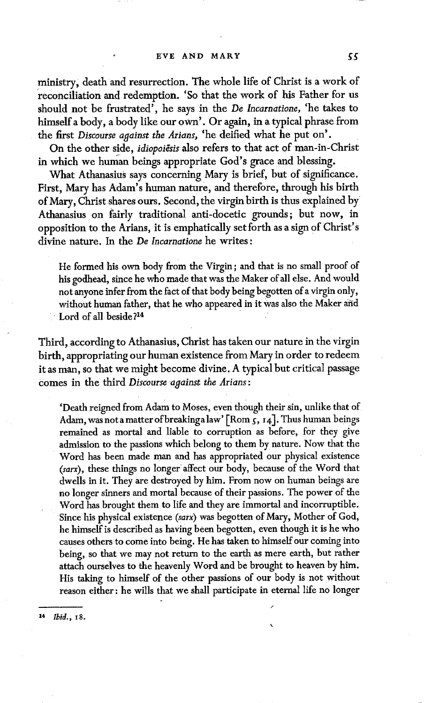ministry, death and resurrection. The whole life of Christ is a work of reconciliation and redemption. 'So that the work of his Father for us should not be frustrated', he says in the *De lncarnatione,* 'he takes to himself a body, a body like our own'. Or again, in a typical phrase from the first *Discourse against the Arians,* 'he deified what he put on'.

On the other side, *idiopoiesis* also refers to that act of man-in-Christ in which we human beings appropriate God's grace and blessing.

What Athanasius says concerning Mary is brief, but of significance. First, Mary has Adam's human nature, and therefore, through his birth of Mary, Christ shares ours. Second, the virgin birth is thus explained by Athanasius on fairly traditional anti-docetic grounds; but now, in opposition to the Arians, it is emphatically set forth as a sign of Christ's divine nature. In the *De Incarnatione* he writes:

He formed his own body from the Virgin; and that is no small proof of his godhead, since he who made that was the Maker of all else. And would not anyone infer from the fact of that body being begotten of a virgin only, without human father, that he who appeared in it was also the Maker and Lord of all beside?<sup>14</sup>

Third, according to Athanasius, Christ has taken our nature in the virgin birth, appropriating our human existence from Mary in order to redeem it as man, so that we might become divine. A typical but critical passage comes in the third *Discourse against the Arians*:

'Death reigned from Adam to Moses, even though their sin, unlike that of Adam, was not a matter of breaking a law'  $[$ Rom  $\zeta$ ,  $\zeta$ ,  $\zeta$ ]. Thus human beings remained as mortal and liable to corruption as before, for they give admission to the passions which belong to them by nature. Now that the Word has been made man and has appropriated our physical existence *(sarx),* these things no longer affect our body, because of the Word that dwells in it. They are destroyed by him. From now on human beings are no longer sinners and mortal because of their passions. The power of the Word has brought them to life and they are immortal and incorruptible. Since his physical existence *(sarx)* was begotten of Mary, Mother of God, he himself is described as having been begotten, even though it is he who causes others to come into being. He has taken to himself our coming into being, so that we may not return to the earth as mere earth, but rather attach ourselves to the heavenly Word and be brought to heaven by him. His taking to himself of the other passions of our body is not without reason either: he wills that we shall participate in eternal life no longer

/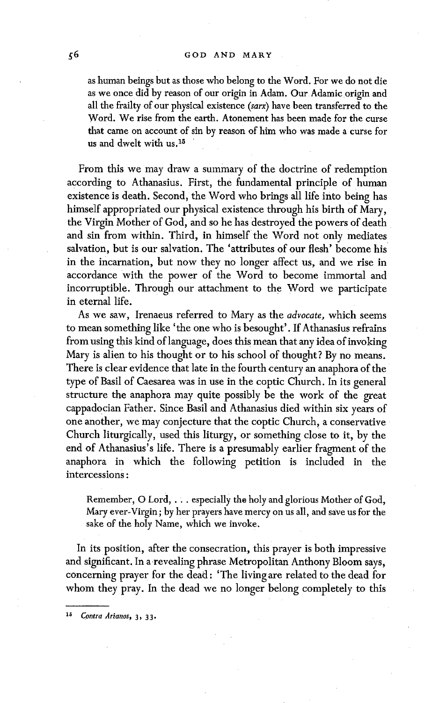as human beings but as those who belong to the Word. For we do not die as we once did by reason of our origin in Adam. Our Adamic origin and all the frailty of our physical existence *(sarx)* have been transferred to the Word. We rise from the earth. Atonement has been made for the curse that came on account of sin by reason of him who was made a curse for us and dwelt with us.!S

From this we may draw a summary of the doctrine of redemption according to Athanasius. First, the fundamental principle of human existence is death. Second, the Word who brings all life into being has himself appropriated our physical existence through his birth of Mary, the Virgin Mother of God, and so he has destroyed the powers of death and sin from within. Third, in himself the Word not only mediates salvation, but is our salvation. The 'attributes of our flesh' become his in the incarnation, but now they no longer affect us, and we rise in accordance with the power of the Word to become immortal and incorruptible. Through our attachment to the Word we participate in eternal life.

As we saw, Irenaeus referred to Mary as the *advocate,* which seems to mean something like 'the one who is besought'. If Athanasius refrains from using this kind of language, does this mean that any idea of invoking Mary is alien to his thought or to his school of thought? By no means. There is clear evidence that late in the fourth century an anaphora of the type of Basil of Caesarea was in use in the coptic Church. In its general structure the anaphora may quite possibly be the work of the great cappadocian Father. Since Basil and Athanasius died within six years of one another, we may conjecture that the coptic Church, a conservative Church liturgically, used this liturgy, or something close to it, by the end of Athanasius's life. There is a presumably earlier fragment of the anaphora in which the following petition is included in the intercessions :

Remember, O Lord, ... especially the holy and glorious Mother of God, Mary ever-Virgin; by her prayers have mercy on us all, and save us for the sake of the holy Name, which we invoke.

In its position, after the consecration, this prayer is both impressive and significant. In a revealing phrase Metropolitan Anthony Bloom says, concerning prayer for the dead: 'The living are related to the dead for whom they pray. In the dead we no longer belong completely to this

*1~ Contra Arianos,* 3, 33.